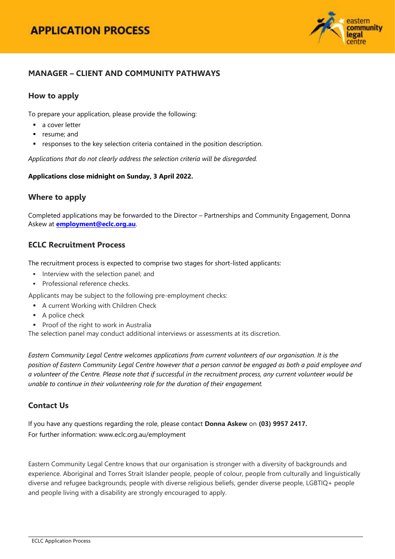

## **MANAGER – CLIENT AND COMMUNITY PATHWAYS**

### **How to apply**

To prepare your application, please provide the following:

- a cover letter
- **•** resume; and
- responses to the key selection criteria contained in the position description.

*Applications that do not clearly address the selection criteria will be disregarded.*

#### **Applications close midnight on Sunday, 3 April 2022.**

### **Where to apply**

Completed applications may be forwarded to the Director – Partnerships and Community Engagement, Donna Askew at **[employment@eclc.org.au](mailto:employment@eclc.org.au)**.

### **ECLC Recruitment Process**

The recruitment process is expected to comprise two stages for short-listed applicants:

- Interview with the selection panel; and
- **Professional reference checks.**

Applicants may be subject to the following pre-employment checks:

- **A current Working with Children Check**
- A police check
- **Proof of the right to work in Australia**

The selection panel may conduct additional interviews or assessments at its discretion.

*Eastern Community Legal Centre welcomes applications from current volunteers of our organisation. It is the position of Eastern Community Legal Centre however that a person cannot be engaged as both a paid employee and a volunteer of the Centre. Please note that if successful in the recruitment process, any current volunteer would be unable to continue in their volunteering role for the duration of their engagement.*

# **Contact Us**

If you have any questions regarding the role, please contact **Donna Askew** on **(03) 9957 2417.** For further information[: www.eclc.org.au/employment](http://www.eclc.org.au/employment) 

Eastern Community Legal Centre knows that our organisation is stronger with a diversity of backgrounds and experience. Aboriginal and Torres Strait Islander people, people of colour, people from culturally and linguistically diverse and refugee backgrounds, people with diverse religious beliefs, gender diverse people, LGBTIQ+ people and people living with a disability are strongly encouraged to apply.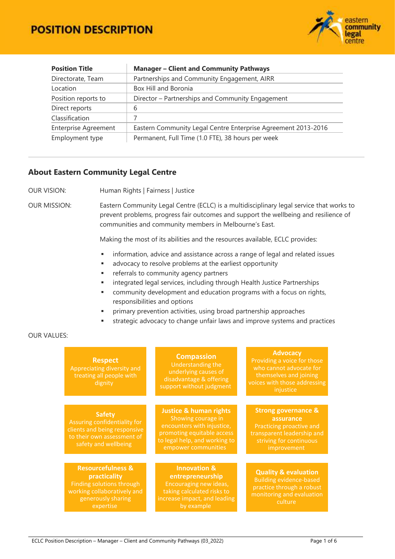# **POSITION DESCRIPTION**



| <b>Position Title</b>                                                                        | <b>Manager - Client and Community Pathways</b><br>Partnerships and Community Engagement, AIRR |  |  |
|----------------------------------------------------------------------------------------------|-----------------------------------------------------------------------------------------------|--|--|
| Directorate, Team                                                                            |                                                                                               |  |  |
| Box Hill and Boronia<br>Location                                                             |                                                                                               |  |  |
| Position reports to                                                                          | Director – Partnerships and Community Engagement                                              |  |  |
| Direct reports                                                                               | 6                                                                                             |  |  |
| Classification                                                                               |                                                                                               |  |  |
| <b>Enterprise Agreement</b><br>Eastern Community Legal Centre Enterprise Agreement 2013-2016 |                                                                                               |  |  |
| Employment type                                                                              | Permanent, Full Time (1.0 FTE), 38 hours per week                                             |  |  |

#### **About Eastern Community Legal Centre**

OUR VISION: Human Rights | Fairness | Justice

OUR MISSION: Eastern Community Legal Centre (ECLC) is a multidisciplinary legal service that works to prevent problems, progress fair outcomes and support the wellbeing and resilience of communities and community members in Melbourne's East.

Making the most of its abilities and the resources available, ECLC provides:

- **information, advice and assistance across a range of legal and related issues**
- **advocacy to resolve problems at the earliest opportunity**
- **Fig. 2** referrals to community agency partners
- **EXEDENT Integrated legal services, including through Health Justice Partnerships**
- community development and education programs with a focus on rights, responsibilities and options
- primary prevention activities, using broad partnership approaches
- strategic advocacy to change unfair laws and improve systems and practices

#### OUR VALUES:

| <b>Respect</b><br>Appreciating diversity and<br>treating all people with<br>dignity                                                         | <b>Compassion</b><br>Understanding the<br>underlying causes of<br>disadvantage & offering<br>support without judgment                             | <b>Advocacy</b><br>Providing a voice for those<br>who cannot advocate for<br>themselves and joining<br>voices with those addressing<br>injustice |
|---------------------------------------------------------------------------------------------------------------------------------------------|---------------------------------------------------------------------------------------------------------------------------------------------------|--------------------------------------------------------------------------------------------------------------------------------------------------|
|                                                                                                                                             | <b>Justice &amp; human rights</b>                                                                                                                 | <b>Strong governance &amp;</b>                                                                                                                   |
| <b>Safety</b><br>Assuring confidentiality for<br>clients and being responsive<br>to their own assessment of<br>safety and wellbeing         | Showing courage in<br>encounters with injustice,<br>promoting equitable access<br>to legal help, and working to<br>empower communities            | assurance<br>Practicing proactive and<br>transparent leadership and<br>striving for continuous<br>improvement                                    |
|                                                                                                                                             |                                                                                                                                                   |                                                                                                                                                  |
| <b>Resourcefulness &amp;</b><br>practicality<br>Finding solutions through<br>working collaboratively and<br>generously sharing<br>expertise | <b>Innovation &amp;</b><br>entrepreneurship<br>Encouraging new ideas,<br>taking calculated risks to<br>increase impact, and leading<br>by example | <b>Quality &amp; evaluation</b><br><b>Building evidence-based</b><br>practice through a robust<br>monitoring and evaluation<br>culture           |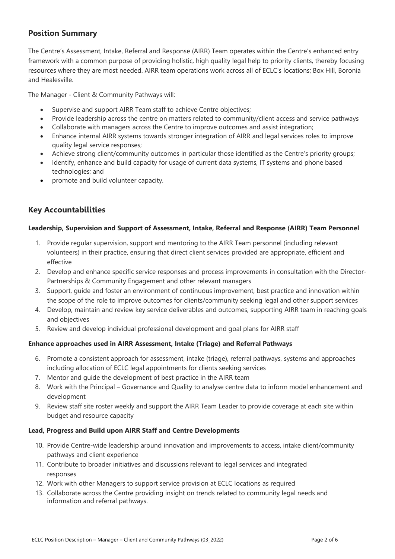# **Position Summary**

The Centre's Assessment, Intake, Referral and Response (AIRR) Team operates within the Centre's enhanced entry framework with a common purpose of providing holistic, high quality legal help to priority clients, thereby focusing resources where they are most needed. AIRR team operations work across all of ECLC's locations; Box Hill, Boronia and Healesville.

The Manager - Client & Community Pathways will:

- Supervise and support AIRR Team staff to achieve Centre objectives;
- Provide leadership across the centre on matters related to community/client access and service pathways
- Collaborate with managers across the Centre to improve outcomes and assist integration;
- Enhance internal AIRR systems towards stronger integration of AIRR and legal services roles to improve quality legal service responses;
- Achieve strong client/community outcomes in particular those identified as the Centre's priority groups;
- Identify, enhance and build capacity for usage of current data systems, IT systems and phone based technologies; and
- promote and build volunteer capacity.

# **Key Accountabilities**

#### **Leadership, Supervision and Support of Assessment, Intake, Referral and Response (AIRR) Team Personnel**

- 1. Provide regular supervision, support and mentoring to the AIRR Team personnel (including relevant volunteers) in their practice, ensuring that direct client services provided are appropriate, efficient and effective
- 2. Develop and enhance specific service responses and process improvements in consultation with the Director-Partnerships & Community Engagement and other relevant managers
- 3. Support, guide and foster an environment of continuous improvement, best practice and innovation within the scope of the role to improve outcomes for clients/community seeking legal and other support services
- 4. Develop, maintain and review key service deliverables and outcomes, supporting AIRR team in reaching goals and objectives
- 5. Review and develop individual professional development and goal plans for AIRR staff

### **Enhance approaches used in AIRR Assessment, Intake (Triage) and Referral Pathways**

- 6. Promote a consistent approach for assessment, intake (triage), referral pathways, systems and approaches including allocation of ECLC legal appointments for clients seeking services
- 7. Mentor and guide the development of best practice in the AIRR team
- 8. Work with the Principal Governance and Quality to analyse centre data to inform model enhancement and development
- 9. Review staff site roster weekly and support the AIRR Team Leader to provide coverage at each site within budget and resource capacity

#### **Lead, Progress and Build upon AIRR Staff and Centre Developments**

- 10. Provide Centre-wide leadership around innovation and improvements to access, intake client/community pathways and client experience
- 11. Contribute to broader initiatives and discussions relevant to legal services and integrated responses
- 12. Work with other Managers to support service provision at ECLC locations as required
- 13. Collaborate across the Centre providing insight on trends related to community legal needs and information and referral pathways.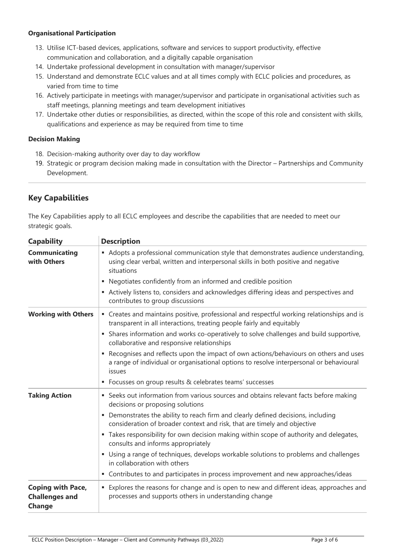#### **Organisational Participation**

- 13. Utilise ICT-based devices, applications, software and services to support productivity, effective communication and collaboration, and a digitally capable organisation
- 14. Undertake professional development in consultation with manager/supervisor
- 15. Understand and demonstrate ECLC values and at all times comply with ECLC policies and procedures, as varied from time to time
- 16. Actively participate in meetings with manager/supervisor and participate in organisational activities such as staff meetings, planning meetings and team development initiatives
- 17. Undertake other duties or responsibilities, as directed, within the scope of this role and consistent with skills, qualifications and experience as may be required from time to time

#### **Decision Making**

- 18. Decision-making authority over day to day workflow
- 19. Strategic or program decision making made in consultation with the Director Partnerships and Community Development.

# **Key Capabilities**

The Key Capabilities apply to all ECLC employees and describe the capabilities that are needed to meet our strategic goals.

| <b>Capability</b>                                           | <b>Description</b>                                                                                                                                                                             |  |  |  |
|-------------------------------------------------------------|------------------------------------------------------------------------------------------------------------------------------------------------------------------------------------------------|--|--|--|
| <b>Communicating</b><br>with Others                         | • Adopts a professional communication style that demonstrates audience understanding,<br>using clear verbal, written and interpersonal skills in both positive and negative<br>situations      |  |  |  |
|                                                             | Negotiates confidently from an informed and credible position<br>ш                                                                                                                             |  |  |  |
|                                                             | Actively listens to, considers and acknowledges differing ideas and perspectives and<br>contributes to group discussions                                                                       |  |  |  |
| <b>Working with Others</b>                                  | " Creates and maintains positive, professional and respectful working relationships and is<br>transparent in all interactions, treating people fairly and equitably                            |  |  |  |
|                                                             | • Shares information and works co-operatively to solve challenges and build supportive,<br>collaborative and responsive relationships                                                          |  |  |  |
|                                                             | Recognises and reflects upon the impact of own actions/behaviours on others and uses<br>٠<br>a range of individual or organisational options to resolve interpersonal or behavioural<br>issues |  |  |  |
|                                                             | Focusses on group results & celebrates teams' successes<br>٠                                                                                                                                   |  |  |  |
| <b>Taking Action</b>                                        | • Seeks out information from various sources and obtains relevant facts before making<br>decisions or proposing solutions                                                                      |  |  |  |
|                                                             | • Demonstrates the ability to reach firm and clearly defined decisions, including<br>consideration of broader context and risk, that are timely and objective                                  |  |  |  |
|                                                             | " Takes responsibility for own decision making within scope of authority and delegates,<br>consults and informs appropriately                                                                  |  |  |  |
|                                                             | Using a range of techniques, develops workable solutions to problems and challenges<br>in collaboration with others                                                                            |  |  |  |
|                                                             | • Contributes to and participates in process improvement and new approaches/ideas                                                                                                              |  |  |  |
| <b>Coping with Pace,</b><br><b>Challenges and</b><br>Change | Explores the reasons for change and is open to new and different ideas, approaches and<br>processes and supports others in understanding change                                                |  |  |  |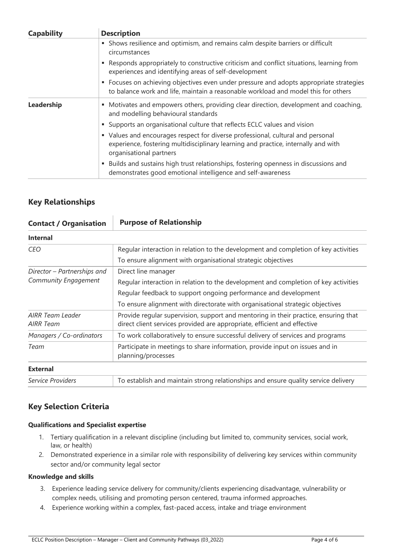| <b>Capability</b> | <b>Description</b>                                                                                                                                                                               |  |  |
|-------------------|--------------------------------------------------------------------------------------------------------------------------------------------------------------------------------------------------|--|--|
|                   | • Shows resilience and optimism, and remains calm despite barriers or difficult<br>circumstances                                                                                                 |  |  |
|                   | Responds appropriately to constructive criticism and conflict situations, learning from<br>experiences and identifying areas of self-development                                                 |  |  |
|                   | • Focuses on achieving objectives even under pressure and adopts appropriate strategies<br>to balance work and life, maintain a reasonable workload and model this for others                    |  |  |
| Leadership        | Motivates and empowers others, providing clear direction, development and coaching,<br>٠<br>and modelling behavioural standards                                                                  |  |  |
|                   | Supports an organisational culture that reflects ECLC values and vision<br>a.                                                                                                                    |  |  |
|                   | • Values and encourages respect for diverse professional, cultural and personal<br>experience, fostering multidisciplinary learning and practice, internally and with<br>organisational partners |  |  |
|                   | Builds and sustains high trust relationships, fostering openness in discussions and<br>٠<br>demonstrates good emotional intelligence and self-awareness                                          |  |  |

# **Key Relationships**

| <b>Contact / Organisation</b>                       | <b>Purpose of Relationship</b>                                                                                                                                                                                                                                 |  |  |
|-----------------------------------------------------|----------------------------------------------------------------------------------------------------------------------------------------------------------------------------------------------------------------------------------------------------------------|--|--|
| <b>Internal</b>                                     |                                                                                                                                                                                                                                                                |  |  |
| <b>CEO</b>                                          | Regular interaction in relation to the development and completion of key activities<br>To ensure alignment with organisational strategic objectives                                                                                                            |  |  |
| Director - Partnerships and<br>Community Engagement | Direct line manager<br>Regular interaction in relation to the development and completion of key activities<br>Regular feedback to support ongoing performance and development<br>To ensure alignment with directorate with organisational strategic objectives |  |  |
| <b>AIRR Team Leader</b><br>AIRR Team                | Provide regular supervision, support and mentoring in their practice, ensuring that<br>direct client services provided are appropriate, efficient and effective                                                                                                |  |  |
| Managers / Co-ordinators                            | To work collaboratively to ensure successful delivery of services and programs                                                                                                                                                                                 |  |  |
| Team                                                | Participate in meetings to share information, provide input on issues and in<br>planning/processes                                                                                                                                                             |  |  |
| <b>External</b>                                     |                                                                                                                                                                                                                                                                |  |  |
| Service Providers                                   | To establish and maintain strong relationships and ensure quality service delivery                                                                                                                                                                             |  |  |

# **Key Selection Criteria**

#### **Qualifications and Specialist expertise**

- 1. Tertiary qualification in a relevant discipline (including but limited to, community services, social work, law, or health)
- 2. Demonstrated experience in a similar role with responsibility of delivering key services within community sector and/or community legal sector

#### **Knowledge and skills**

- 3. Experience leading service delivery for community/clients experiencing disadvantage, vulnerability or complex needs, utilising and promoting person centered, trauma informed approaches.
- 4. Experience working within a complex, fast-paced access, intake and triage environment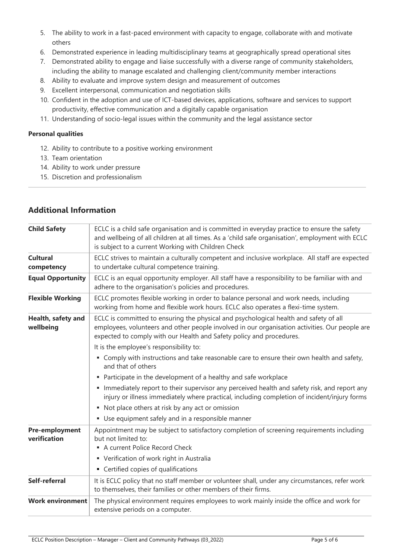- 5. The ability to work in a fast-paced environment with capacity to engage, collaborate with and motivate others
- 6. Demonstrated experience in leading multidisciplinary teams at geographically spread operational sites
- 7. Demonstrated ability to engage and liaise successfully with a diverse range of community stakeholders, including the ability to manage escalated and challenging client/community member interactions
- 8. Ability to evaluate and improve system design and measurement of outcomes
- 9. Excellent interpersonal, communication and negotiation skills
- 10. Confident in the adoption and use of ICT-based devices, applications, software and services to support productivity, effective communication and a digitally capable organisation
- 11. Understanding of socio-legal issues within the community and the legal assistance sector

#### **Personal qualities**

- 12. Ability to contribute to a positive working environment
- 13. Team orientation
- 14. Ability to work under pressure
- 15. Discretion and professionalism

| <b>Child Safety</b>             | ECLC is a child safe organisation and is committed in everyday practice to ensure the safety<br>and wellbeing of all children at all times. As a 'child safe organisation', employment with ECLC<br>is subject to a current Working with Children Check         |  |  |  |
|---------------------------------|-----------------------------------------------------------------------------------------------------------------------------------------------------------------------------------------------------------------------------------------------------------------|--|--|--|
| <b>Cultural</b><br>competency   | ECLC strives to maintain a culturally competent and inclusive workplace. All staff are expected<br>to undertake cultural competence training.                                                                                                                   |  |  |  |
| <b>Equal Opportunity</b>        | ECLC is an equal opportunity employer. All staff have a responsibility to be familiar with and<br>adhere to the organisation's policies and procedures.                                                                                                         |  |  |  |
| <b>Flexible Working</b>         | ECLC promotes flexible working in order to balance personal and work needs, including<br>working from home and flexible work hours. ECLC also operates a flexi-time system.                                                                                     |  |  |  |
| Health, safety and<br>wellbeing | ECLC is committed to ensuring the physical and psychological health and safety of all<br>employees, volunteers and other people involved in our organisation activities. Our people are<br>expected to comply with our Health and Safety policy and procedures. |  |  |  |
|                                 | It is the employee's responsibility to:                                                                                                                                                                                                                         |  |  |  |
|                                 | • Comply with instructions and take reasonable care to ensure their own health and safety,<br>and that of others                                                                                                                                                |  |  |  |
|                                 | • Participate in the development of a healthy and safe workplace                                                                                                                                                                                                |  |  |  |
|                                 | Immediately report to their supervisor any perceived health and safety risk, and report any<br>injury or illness immediately where practical, including completion of incident/injury forms                                                                     |  |  |  |
|                                 | • Not place others at risk by any act or omission                                                                                                                                                                                                               |  |  |  |
|                                 | • Use equipment safely and in a responsible manner                                                                                                                                                                                                              |  |  |  |
| Pre-employment<br>verification  | Appointment may be subject to satisfactory completion of screening requirements including<br>but not limited to:<br>A current Police Record Check                                                                                                               |  |  |  |
|                                 | • Verification of work right in Australia                                                                                                                                                                                                                       |  |  |  |
|                                 | • Certified copies of qualifications                                                                                                                                                                                                                            |  |  |  |
| Self-referral                   | It is ECLC policy that no staff member or volunteer shall, under any circumstances, refer work<br>to themselves, their families or other members of their firms.                                                                                                |  |  |  |
| <b>Work environment</b>         | The physical environment requires employees to work mainly inside the office and work for<br>extensive periods on a computer.                                                                                                                                   |  |  |  |
|                                 |                                                                                                                                                                                                                                                                 |  |  |  |

#### **Additional Information**